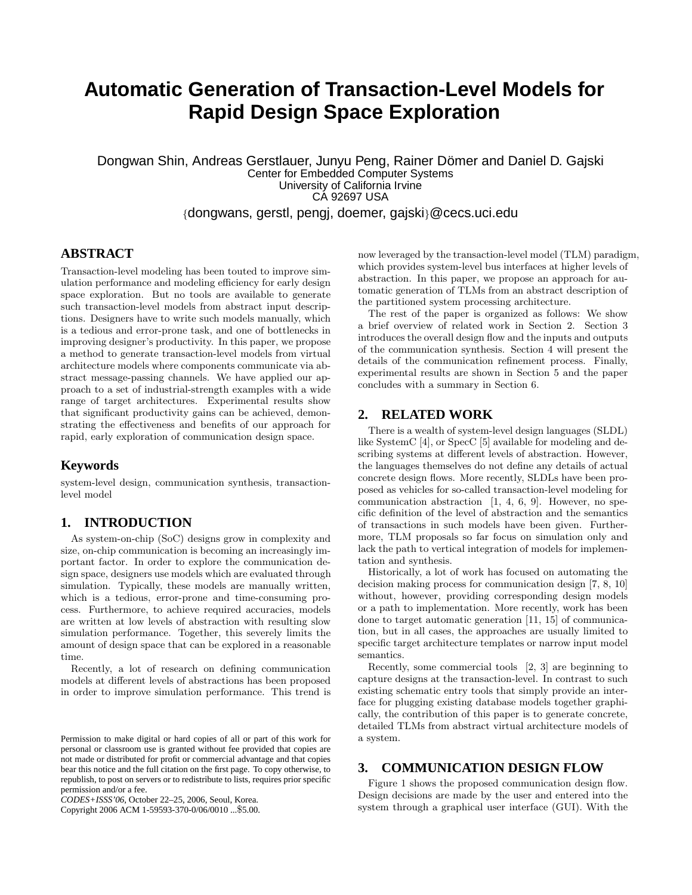# **Automatic Generation of Transaction-Level Models for Rapid Design Space Exploration**

Dongwan Shin, Andreas Gerstlauer, Junyu Peng, Rainer Dömer and Daniel D. Gajski Center for Embedded Computer Systems University of California Irvine CA 92697 USA {dongwans, gerstl, pengj, doemer, gajski}@cecs.uci.edu

# **ABSTRACT**

Transaction-level modeling has been touted to improve simulation performance and modeling efficiency for early design space exploration. But no tools are available to generate such transaction-level models from abstract input descriptions. Designers have to write such models manually, which is a tedious and error-prone task, and one of bottlenecks in improving designer's productivity. In this paper, we propose a method to generate transaction-level models from virtual architecture models where components communicate via abstract message-passing channels. We have applied our approach to a set of industrial-strength examples with a wide range of target architectures. Experimental results show that significant productivity gains can be achieved, demonstrating the effectiveness and benefits of our approach for rapid, early exploration of communication design space.

## **Keywords**

system-level design, communication synthesis, transactionlevel model

## **1. INTRODUCTION**

As system-on-chip (SoC) designs grow in complexity and size, on-chip communication is becoming an increasingly important factor. In order to explore the communication design space, designers use models which are evaluated through simulation. Typically, these models are manually written, which is a tedious, error-prone and time-consuming process. Furthermore, to achieve required accuracies, models are written at low levels of abstraction with resulting slow simulation performance. Together, this severely limits the amount of design space that can be explored in a reasonable time.

Recently, a lot of research on defining communication models at different levels of abstractions has been proposed in order to improve simulation performance. This trend is

Copyright 2006 ACM 1-59593-370-0/06/0010 ...\$5.00.

now leveraged by the transaction-level model (TLM) paradigm, which provides system-level bus interfaces at higher levels of abstraction. In this paper, we propose an approach for automatic generation of TLMs from an abstract description of the partitioned system processing architecture.

The rest of the paper is organized as follows: We show a brief overview of related work in Section 2. Section 3 introduces the overall design flow and the inputs and outputs of the communication synthesis. Section 4 will present the details of the communication refinement process. Finally, experimental results are shown in Section 5 and the paper concludes with a summary in Section 6.

#### **2. RELATED WORK**

There is a wealth of system-level design languages (SLDL) like SystemC [4], or SpecC [5] available for modeling and describing systems at different levels of abstraction. However, the languages themselves do not define any details of actual concrete design flows. More recently, SLDLs have been proposed as vehicles for so-called transaction-level modeling for communication abstraction [1, 4, 6, 9]. However, no specific definition of the level of abstraction and the semantics of transactions in such models have been given. Furthermore, TLM proposals so far focus on simulation only and lack the path to vertical integration of models for implementation and synthesis.

Historically, a lot of work has focused on automating the decision making process for communication design [7, 8, 10] without, however, providing corresponding design models or a path to implementation. More recently, work has been done to target automatic generation [11, 15] of communication, but in all cases, the approaches are usually limited to specific target architecture templates or narrow input model semantics.

Recently, some commercial tools [2, 3] are beginning to capture designs at the transaction-level. In contrast to such existing schematic entry tools that simply provide an interface for plugging existing database models together graphically, the contribution of this paper is to generate concrete, detailed TLMs from abstract virtual architecture models of a system.

# **3. COMMUNICATION DESIGN FLOW**

Figure 1 shows the proposed communication design flow. Design decisions are made by the user and entered into the system through a graphical user interface (GUI). With the

Permission to make digital or hard copies of all or part of this work for personal or classroom use is granted without fee provided that copies are not made or distributed for profit or commercial advantage and that copies bear this notice and the full citation on the first page. To copy otherwise, to republish, to post on servers or to redistribute to lists, requires prior specific permission and/or a fee.

*CODES+ISSS'06,* October 22–25, 2006, Seoul, Korea.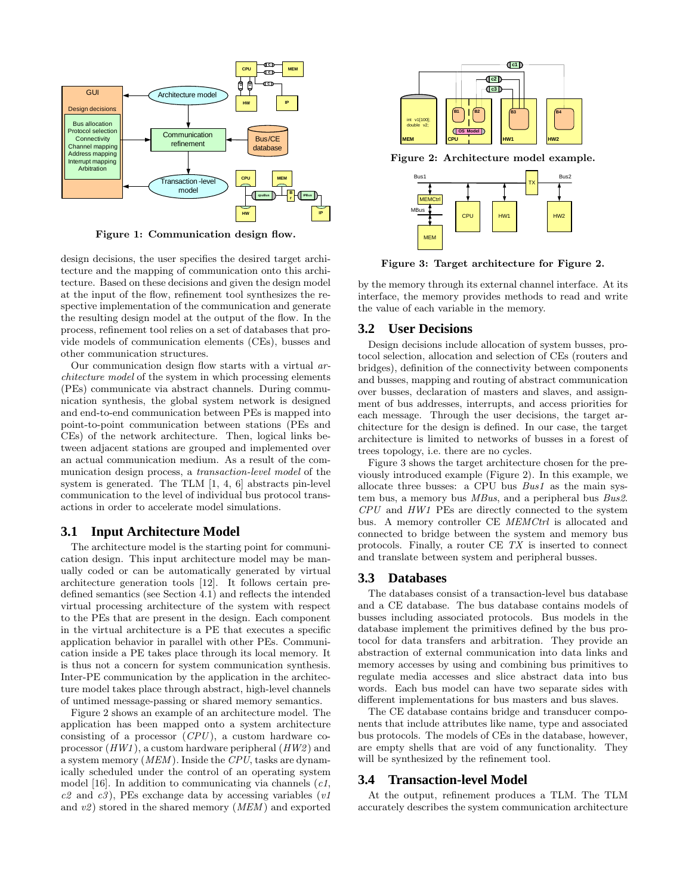

Figure 1: Communication design flow.

design decisions, the user specifies the desired target architecture and the mapping of communication onto this architecture. Based on these decisions and given the design model at the input of the flow, refinement tool synthesizes the respective implementation of the communication and generate the resulting design model at the output of the flow. In the process, refinement tool relies on a set of databases that provide models of communication elements (CEs), busses and other communication structures.

Our communication design flow starts with a virtual architecture model of the system in which processing elements (PEs) communicate via abstract channels. During communication synthesis, the global system network is designed and end-to-end communication between PEs is mapped into point-to-point communication between stations (PEs and CEs) of the network architecture. Then, logical links between adjacent stations are grouped and implemented over an actual communication medium. As a result of the communication design process, a transaction-level model of the system is generated. The TLM [1, 4, 6] abstracts pin-level communication to the level of individual bus protocol transactions in order to accelerate model simulations.

#### **3.1 Input Architecture Model**

The architecture model is the starting point for communication design. This input architecture model may be manually coded or can be automatically generated by virtual architecture generation tools [12]. It follows certain predefined semantics (see Section 4.1) and reflects the intended virtual processing architecture of the system with respect to the PEs that are present in the design. Each component in the virtual architecture is a PE that executes a specific application behavior in parallel with other PEs. Communication inside a PE takes place through its local memory. It is thus not a concern for system communication synthesis. Inter-PE communication by the application in the architecture model takes place through abstract, high-level channels of untimed message-passing or shared memory semantics.

Figure 2 shows an example of an architecture model. The application has been mapped onto a system architecture consisting of a processor  $(CPU)$ , a custom hardware coprocessor  $(HW1)$ , a custom hardware peripheral  $(HW2)$  and a system memory (MEM ). Inside the CPU, tasks are dynamically scheduled under the control of an operating system model [16]. In addition to communicating via channels  $(c_1, c_2)$  $c2$  and  $c3$ ), PEs exchange data by accessing variables (v1) and  $v2$ ) stored in the shared memory (MEM) and exported



Figure 2: Architecture model example.



Figure 3: Target architecture for Figure 2.

by the memory through its external channel interface. At its interface, the memory provides methods to read and write the value of each variable in the memory.

## **3.2 User Decisions**

Design decisions include allocation of system busses, protocol selection, allocation and selection of CEs (routers and bridges), definition of the connectivity between components and busses, mapping and routing of abstract communication over busses, declaration of masters and slaves, and assignment of bus addresses, interrupts, and access priorities for each message. Through the user decisions, the target architecture for the design is defined. In our case, the target architecture is limited to networks of busses in a forest of trees topology, i.e. there are no cycles.

Figure 3 shows the target architecture chosen for the previously introduced example (Figure 2). In this example, we allocate three busses: a CPU bus Bus1 as the main system bus, a memory bus MBus, and a peripheral bus Bus2.  $CPU$  and  $HWI$  PEs are directly connected to the system bus. A memory controller CE MEMCtrl is allocated and connected to bridge between the system and memory bus protocols. Finally, a router CE TX is inserted to connect and translate between system and peripheral busses.

#### **3.3 Databases**

The databases consist of a transaction-level bus database and a CE database. The bus database contains models of busses including associated protocols. Bus models in the database implement the primitives defined by the bus protocol for data transfers and arbitration. They provide an abstraction of external communication into data links and memory accesses by using and combining bus primitives to regulate media accesses and slice abstract data into bus words. Each bus model can have two separate sides with different implementations for bus masters and bus slaves.

The CE database contains bridge and transducer components that include attributes like name, type and associated bus protocols. The models of CEs in the database, however, are empty shells that are void of any functionality. They will be synthesized by the refinement tool.

#### **3.4 Transaction-level Model**

At the output, refinement produces a TLM. The TLM accurately describes the system communication architecture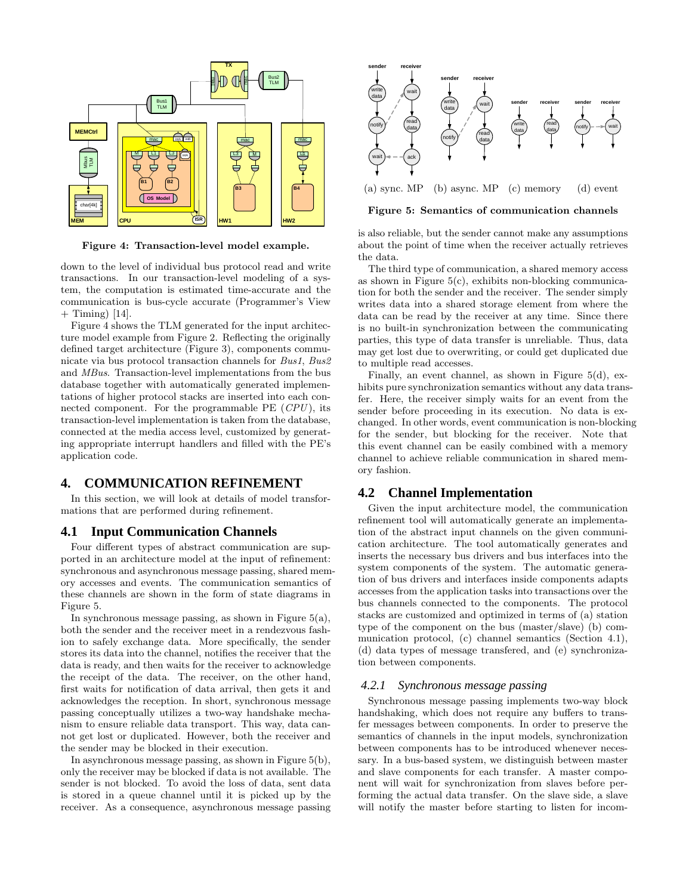

Figure 4: Transaction-level model example.

down to the level of individual bus protocol read and write transactions. In our transaction-level modeling of a system, the computation is estimated time-accurate and the communication is bus-cycle accurate (Programmer's View  $+$  Timing) [14].

Figure 4 shows the TLM generated for the input architecture model example from Figure 2. Reflecting the originally defined target architecture (Figure 3), components communicate via bus protocol transaction channels for Bus1, Bus2 and MBus. Transaction-level implementations from the bus database together with automatically generated implementations of higher protocol stacks are inserted into each connected component. For the programmable  $PE$  ( $CPU$ ), its transaction-level implementation is taken from the database, connected at the media access level, customized by generating appropriate interrupt handlers and filled with the PE's application code.

## **4. COMMUNICATION REFINEMENT**

In this section, we will look at details of model transformations that are performed during refinement.

## **4.1 Input Communication Channels**

Four different types of abstract communication are supported in an architecture model at the input of refinement: synchronous and asynchronous message passing, shared memory accesses and events. The communication semantics of these channels are shown in the form of state diagrams in Figure 5.

In synchronous message passing, as shown in Figure  $5(a)$ , both the sender and the receiver meet in a rendezvous fashion to safely exchange data. More specifically, the sender stores its data into the channel, notifies the receiver that the data is ready, and then waits for the receiver to acknowledge the receipt of the data. The receiver, on the other hand, first waits for notification of data arrival, then gets it and acknowledges the reception. In short, synchronous message passing conceptually utilizes a two-way handshake mechanism to ensure reliable data transport. This way, data cannot get lost or duplicated. However, both the receiver and the sender may be blocked in their execution.

In asynchronous message passing, as shown in Figure 5(b), only the receiver may be blocked if data is not available. The sender is not blocked. To avoid the loss of data, sent data is stored in a queue channel until it is picked up by the receiver. As a consequence, asynchronous message passing



(a) sync. MP (c) memory (d) event

Figure 5: Semantics of communication channels

is also reliable, but the sender cannot make any assumptions about the point of time when the receiver actually retrieves the data.

The third type of communication, a shared memory access as shown in Figure  $5(c)$ , exhibits non-blocking communication for both the sender and the receiver. The sender simply writes data into a shared storage element from where the data can be read by the receiver at any time. Since there is no built-in synchronization between the communicating parties, this type of data transfer is unreliable. Thus, data may get lost due to overwriting, or could get duplicated due to multiple read accesses.

Finally, an event channel, as shown in Figure 5(d), exhibits pure synchronization semantics without any data transfer. Here, the receiver simply waits for an event from the sender before proceeding in its execution. No data is exchanged. In other words, event communication is non-blocking for the sender, but blocking for the receiver. Note that this event channel can be easily combined with a memory channel to achieve reliable communication in shared memory fashion.

## **4.2 Channel Implementation**

Given the input architecture model, the communication refinement tool will automatically generate an implementation of the abstract input channels on the given communication architecture. The tool automatically generates and inserts the necessary bus drivers and bus interfaces into the system components of the system. The automatic generation of bus drivers and interfaces inside components adapts accesses from the application tasks into transactions over the bus channels connected to the components. The protocol stacks are customized and optimized in terms of (a) station type of the component on the bus (master/slave) (b) communication protocol, (c) channel semantics (Section 4.1), (d) data types of message transfered, and (e) synchronization between components.

#### *4.2.1 Synchronous message passing*

Synchronous message passing implements two-way block handshaking, which does not require any buffers to transfer messages between components. In order to preserve the semantics of channels in the input models, synchronization between components has to be introduced whenever necessary. In a bus-based system, we distinguish between master and slave components for each transfer. A master component will wait for synchronization from slaves before performing the actual data transfer. On the slave side, a slave will notify the master before starting to listen for incom-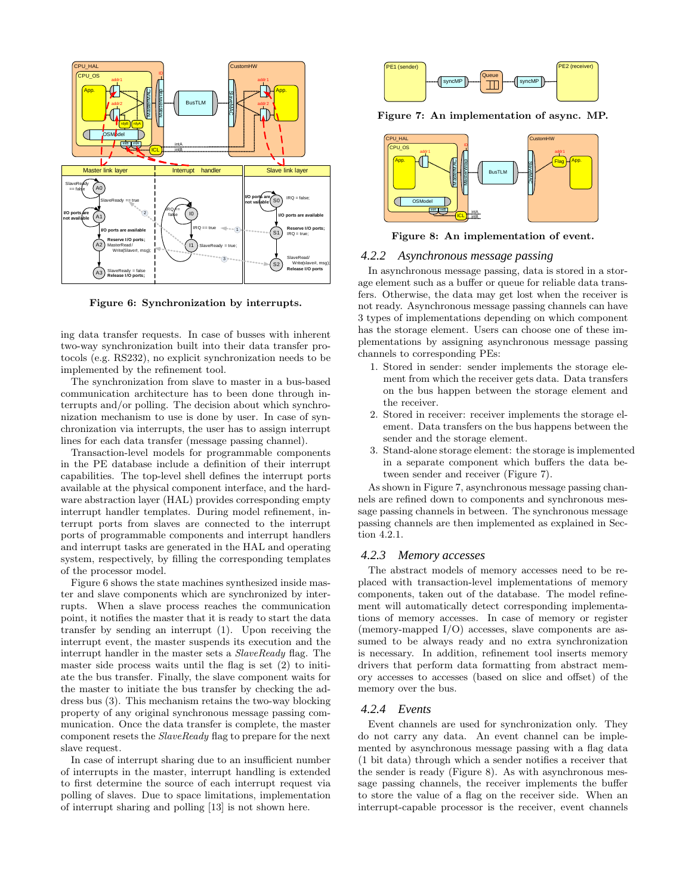

Figure 6: Synchronization by interrupts.

ing data transfer requests. In case of busses with inherent two-way synchronization built into their data transfer protocols (e.g. RS232), no explicit synchronization needs to be implemented by the refinement tool.

The synchronization from slave to master in a bus-based communication architecture has to been done through interrupts and/or polling. The decision about which synchronization mechanism to use is done by user. In case of synchronization via interrupts, the user has to assign interrupt lines for each data transfer (message passing channel).

Transaction-level models for programmable components in the PE database include a definition of their interrupt capabilities. The top-level shell defines the interrupt ports available at the physical component interface, and the hardware abstraction layer (HAL) provides corresponding empty interrupt handler templates. During model refinement, interrupt ports from slaves are connected to the interrupt ports of programmable components and interrupt handlers and interrupt tasks are generated in the HAL and operating system, respectively, by filling the corresponding templates of the processor model.

Figure 6 shows the state machines synthesized inside master and slave components which are synchronized by interrupts. When a slave process reaches the communication point, it notifies the master that it is ready to start the data transfer by sending an interrupt (1). Upon receiving the interrupt event, the master suspends its execution and the interrupt handler in the master sets a SlaveReady flag. The master side process waits until the flag is set (2) to initiate the bus transfer. Finally, the slave component waits for the master to initiate the bus transfer by checking the address bus (3). This mechanism retains the two-way blocking property of any original synchronous message passing communication. Once the data transfer is complete, the master component resets the SlaveReady flag to prepare for the next slave request.

In case of interrupt sharing due to an insufficient number of interrupts in the master, interrupt handling is extended to first determine the source of each interrupt request via polling of slaves. Due to space limitations, implementation of interrupt sharing and polling [13] is not shown here.



Figure 7: An implementation of async. MP.



Figure 8: An implementation of event.

#### *4.2.2 Asynchronous message passing*

In asynchronous message passing, data is stored in a storage element such as a buffer or queue for reliable data transfers. Otherwise, the data may get lost when the receiver is not ready. Asynchronous message passing channels can have 3 types of implementations depending on which component has the storage element. Users can choose one of these implementations by assigning asynchronous message passing channels to corresponding PEs:

- 1. Stored in sender: sender implements the storage element from which the receiver gets data. Data transfers on the bus happen between the storage element and the receiver.
- 2. Stored in receiver: receiver implements the storage element. Data transfers on the bus happens between the sender and the storage element.
- 3. Stand-alone storage element: the storage is implemented in a separate component which buffers the data between sender and receiver (Figure 7).

As shown in Figure 7, asynchronous message passing channels are refined down to components and synchronous message passing channels in between. The synchronous message passing channels are then implemented as explained in Section 4.2.1.

#### *4.2.3 Memory accesses*

The abstract models of memory accesses need to be replaced with transaction-level implementations of memory components, taken out of the database. The model refinement will automatically detect corresponding implementations of memory accesses. In case of memory or register (memory-mapped I/O) accesses, slave components are assumed to be always ready and no extra synchronization is necessary. In addition, refinement tool inserts memory drivers that perform data formatting from abstract memory accesses to accesses (based on slice and offset) of the memory over the bus.

#### *4.2.4 Events*

Event channels are used for synchronization only. They do not carry any data. An event channel can be implemented by asynchronous message passing with a flag data (1 bit data) through which a sender notifies a receiver that the sender is ready (Figure 8). As with asynchronous message passing channels, the receiver implements the buffer to store the value of a flag on the receiver side. When an interrupt-capable processor is the receiver, event channels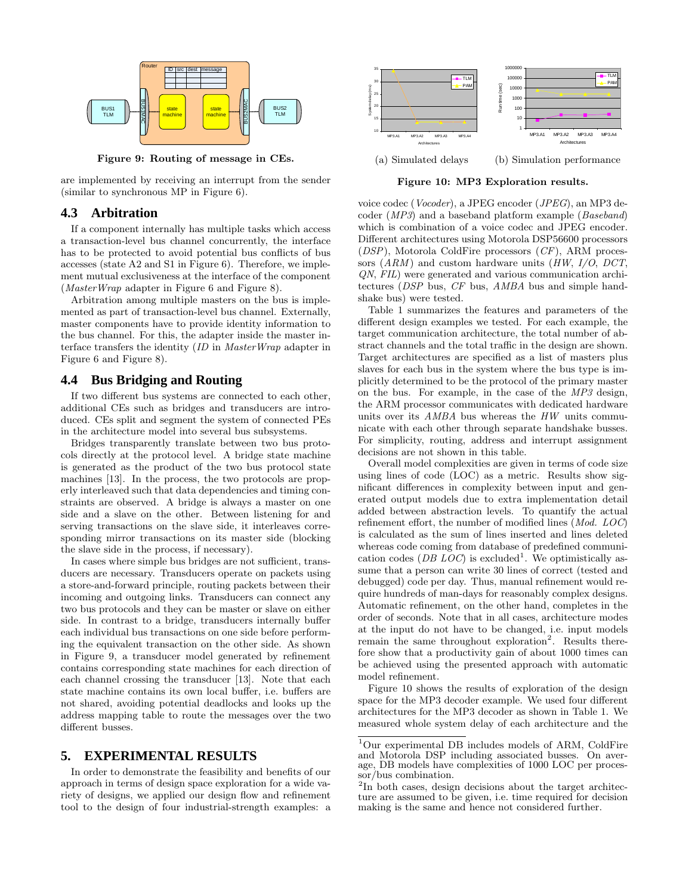

Figure 9: Routing of message in CEs.

are implemented by receiving an interrupt from the sender (similar to synchronous MP in Figure 6).

#### **4.3 Arbitration**

If a component internally has multiple tasks which access a transaction-level bus channel concurrently, the interface has to be protected to avoid potential bus conflicts of bus accesses (state A2 and S1 in Figure 6). Therefore, we implement mutual exclusiveness at the interface of the component (MasterWrap adapter in Figure 6 and Figure 8).

Arbitration among multiple masters on the bus is implemented as part of transaction-level bus channel. Externally, master components have to provide identity information to the bus channel. For this, the adapter inside the master interface transfers the identity (ID in MasterWrap adapter in Figure 6 and Figure 8).

## **4.4 Bus Bridging and Routing**

If two different bus systems are connected to each other, additional CEs such as bridges and transducers are introduced. CEs split and segment the system of connected PEs in the architecture model into several bus subsystems.

Bridges transparently translate between two bus protocols directly at the protocol level. A bridge state machine is generated as the product of the two bus protocol state machines [13]. In the process, the two protocols are properly interleaved such that data dependencies and timing constraints are observed. A bridge is always a master on one side and a slave on the other. Between listening for and serving transactions on the slave side, it interleaves corresponding mirror transactions on its master side (blocking the slave side in the process, if necessary).

In cases where simple bus bridges are not sufficient, transducers are necessary. Transducers operate on packets using a store-and-forward principle, routing packets between their incoming and outgoing links. Transducers can connect any two bus protocols and they can be master or slave on either side. In contrast to a bridge, transducers internally buffer each individual bus transactions on one side before performing the equivalent transaction on the other side. As shown in Figure 9, a transducer model generated by refinement contains corresponding state machines for each direction of each channel crossing the transducer [13]. Note that each state machine contains its own local buffer, i.e. buffers are not shared, avoiding potential deadlocks and looks up the address mapping table to route the messages over the two different busses.

#### **5. EXPERIMENTAL RESULTS**

In order to demonstrate the feasibility and benefits of our approach in terms of design space exploration for a wide variety of designs, we applied our design flow and refinement tool to the design of four industrial-strength examples: a



Figure 10: MP3 Exploration results.

voice codec (Vocoder), a JPEG encoder (JPEG), an MP3 decoder (MP3) and a baseband platform example (Baseband) which is combination of a voice codec and JPEG encoder. Different architectures using Motorola DSP56600 processors  $(DSP)$ , Motorola ColdFire processors  $(CF)$ , ARM processors  $(ARM)$  and custom hardware units  $(HW, I/O, DCT,$ QN, FIL) were generated and various communication architectures (DSP bus, CF bus, AMBA bus and simple handshake bus) were tested.

Table 1 summarizes the features and parameters of the different design examples we tested. For each example, the target communication architecture, the total number of abstract channels and the total traffic in the design are shown. Target architectures are specified as a list of masters plus slaves for each bus in the system where the bus type is implicitly determined to be the protocol of the primary master on the bus. For example, in the case of the MP3 design, the ARM processor communicates with dedicated hardware units over its AMBA bus whereas the HW units communicate with each other through separate handshake busses. For simplicity, routing, address and interrupt assignment decisions are not shown in this table.

Overall model complexities are given in terms of code size using lines of code (LOC) as a metric. Results show significant differences in complexity between input and generated output models due to extra implementation detail added between abstraction levels. To quantify the actual refinement effort, the number of modified lines (Mod. LOC) is calculated as the sum of lines inserted and lines deleted whereas code coming from database of predefined communication codes (*DB LOC*) is excluded<sup>1</sup>. We optimistically assume that a person can write 30 lines of correct (tested and debugged) code per day. Thus, manual refinement would require hundreds of man-days for reasonably complex designs. Automatic refinement, on the other hand, completes in the order of seconds. Note that in all cases, architecture modes at the input do not have to be changed, i.e. input models remain the same throughout exploration<sup>2</sup>. Results therefore show that a productivity gain of about 1000 times can be achieved using the presented approach with automatic model refinement.

Figure 10 shows the results of exploration of the design space for the MP3 decoder example. We used four different architectures for the MP3 decoder as shown in Table 1. We measured whole system delay of each architecture and the

<sup>1</sup>Our experimental DB includes models of ARM, ColdFire and Motorola DSP including associated busses. On average, DB models have complexities of 1000 LOC per processor/bus combination.

 $2\text{In}$  both cases, design decisions about the target architecture are assumed to be given, i.e. time required for decision making is the same and hence not considered further.